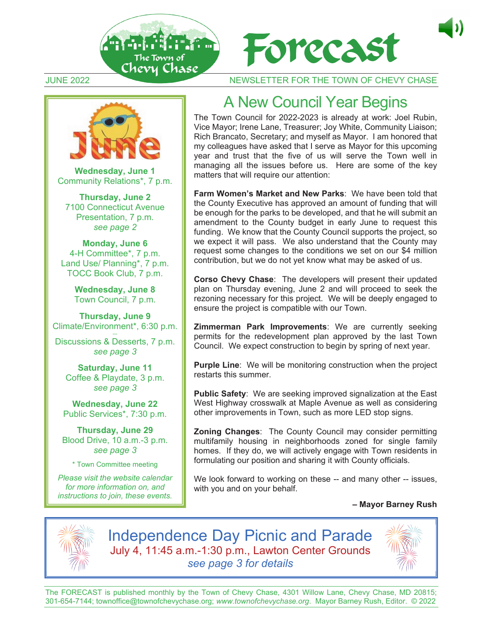





**Wednesday, June 1** Community Relations\*, 7 p.m.

**Thursday, June 2** 7100 Connecticut Avenue Presentation, 7 p.m. *see page 2* 

**Monday, June 6** 4-H Committee\*, 7 p.m. Land Use/ Planning\*, 7 p.m. TOCC Book Club, 7 p.m.

> **Wednesday, June 8**  Town Council, 7 p.m.

**Thursday, June 9**  Climate/Environment\*, 6:30 p.m.

Discussions & Desserts, 7 p.m. *see page 3* 

**Saturday, June 11**  Coffee & Playdate, 3 p.m. *see page 3* 

**Wednesday, June 22** Public Services\*, 7:30 p.m.

**Thursday, June 29**  Blood Drive, 10 a.m.-3 p.m. *see page 3* 

\* Town Committee meeting

*Please visit the website calendar for more information on, and instructions to join, these events.*

### A New Council Year Begins

The Town Council for 2022-2023 is already at work: Joel Rubin, Vice Mayor; Irene Lane, Treasurer; Joy White, Community Liaison; Rich Brancato, Secretary; and myself as Mayor. I am honored that my colleagues have asked that I serve as Mayor for this upcoming year and trust that the five of us will serve the Town well in managing all the issues before us. Here are some of the key matters that will require our attention:

**Farm Women's Market and New Parks**: We have been told that the County Executive has approved an amount of funding that will be enough for the parks to be developed, and that he will submit an amendment to the County budget in early June to request this funding. We know that the County Council supports the project, so we expect it will pass. We also understand that the County may request some changes to the conditions we set on our \$4 million contribution, but we do not yet know what may be asked of us.

**Corso Chevy Chase**: The developers will present their updated plan on Thursday evening, June 2 and will proceed to seek the rezoning necessary for this project. We will be deeply engaged to ensure the project is compatible with our Town.

**Zimmerman Park Improvements**: We are currently seeking permits for the redevelopment plan approved by the last Town Council. We expect construction to begin by spring of next year.

**Purple Line:** We will be monitoring construction when the project restarts this summer.

**Public Safety**: We are seeking improved signalization at the East West Highway crosswalk at Maple Avenue as well as considering other improvements in Town, such as more LED stop signs.

**Zoning Changes**: The County Council may consider permitting multifamily housing in neighborhoods zoned for single family homes. If they do, we will actively engage with Town residents in formulating our position and sharing it with County officials.

We look forward to working on these -- and many other -- issues, with you and on your behalf.

#### **– Mayor Barney Rush**



Independence Day Picnic and Parade July 4, 11:45 a.m.-1:30 p.m., Lawton Center Grounds *see page 3 for details*



The FORECAST is published monthly by the Town of Chevy Chase, 4301 Willow Lane, Chevy Chase, MD 20815; 301-654-7144; townoffice@townofchevychase.org; *www.townofchevychase.org*. Mayor Barney Rush, Editor. © 2022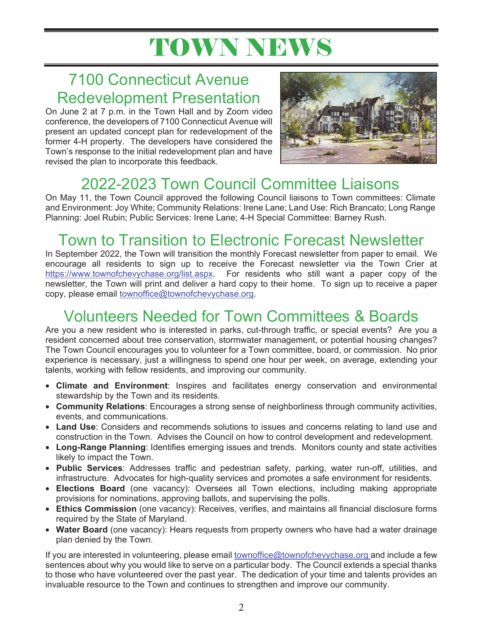# TOWN NEWS

### 7100 Connecticut Avenue Redevelopment Presentation

On June 2 at 7 p.m. in the Town Hall and by Zoom video conference, the developers of 7100 Connecticut Avenue will present an updated concept plan for redevelopment of the former 4-H property. The developers have considered the Town's response to the initial redevelopment plan and have revised the plan to incorporate this feedback.



## 2022-2023 Town Council Committee Liaisons

On May 11, the Town Council approved the following Council liaisons to Town committees: Climate and Environment: Joy White; Community Relations: Irene Lane; Land Use: Rich Brancato; Long Range Planning: Joel Rubin; Public Services: Irene Lane; 4-H Special Committee: Barney Rush.

### Town to Transition to Electronic Forecast Newsletter

In September 2022, the Town will transition the monthly Forecast newsletter from paper to email. We encourage all residents to sign up to receive the Forecast newsletter via the Town Crier at https://www.townofchevychase.org/list.aspx. For residents who still want a paper copy of the newsletter, the Town will print and deliver a hard copy to their home. To sign up to receive a paper copy, please email townoffice@townofchevychase.org.

## Volunteers Needed for Town Committees & Boards

Are you a new resident who is interested in parks, cut-through traffic, or special events? Are you a resident concerned about tree conservation, stormwater management, or potential housing changes? The Town Council encourages you to volunteer for a Town committee, board, or commission. No prior experience is necessary, just a willingness to spend one hour per week, on average, extending your talents, working with fellow residents, and improving our community.

- **Climate and Environment**: Inspires and facilitates energy conservation and environmental stewardship by the Town and its residents.
- **Community Relations**: Encourages a strong sense of neighborliness through community activities, events, and communications.
- **Land Use**: Considers and recommends solutions to issues and concerns relating to land use and construction in the Town. Advises the Council on how to control development and redevelopment.
- **Long-Range Planning**: Identifies emerging issues and trends. Monitors county and state activities likely to impact the Town.
- **Public Services**: Addresses traffic and pedestrian safety, parking, water run-off, utilities, and infrastructure. Advocates for high-quality services and promotes a safe environment for residents.
- **Elections Board** (one vacancy): Oversees all Town elections, including making appropriate provisions for nominations, approving ballots, and supervising the polls.
- **Ethics Commission** (one vacancy): Receives, verifies, and maintains all financial disclosure forms required by the State of Maryland.
- **Water Board** (one vacancy): Hears requests from property owners who have had a water drainage plan denied by the Town.

If you are interested in volunteering, please email townoffice@townofchevychase.org and include a few sentences about why you would like to serve on a particular body. The Council extends a special thanks to those who have volunteered over the past year. The dedication of your time and talents provides an invaluable resource to the Town and continues to strengthen and improve our community.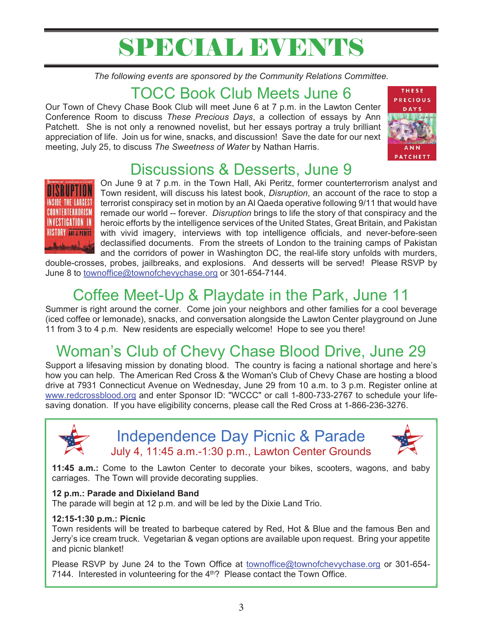# SPECIAL EVENTS

*The following events are sponsored by the Community Relations Committee.* 

### TOCC Book Club Meets June 6

Our Town of Chevy Chase Book Club will meet June 6 at 7 p.m. in the Lawton Center Conference Room to discuss *These Precious Days*, a collection of essays by Ann Patchett. She is not only a renowned novelist, but her essays portray a truly brilliant appreciation of life. Join us for wine, snacks, and discussion! Save the date for our next meeting, July 25, to discuss *The Sweetness of Water* by Nathan Harris.



# Discussions & Desserts, June 9



On June 9 at 7 p.m. in the Town Hall, Aki Peritz, former counterterrorism analyst and Town resident, will discuss his latest book, *Disruption*, an account of the race to stop a terrorist conspiracy set in motion by an Al Qaeda operative following 9/11 that would have remade our world -- forever. *Disruption* brings to life the story of that conspiracy and the heroic efforts by the intelligence services of the United States, Great Britain, and Pakistan with vivid imagery, interviews with top intelligence officials, and never-before-seen declassified documents. From the streets of London to the training camps of Pakistan and the corridors of power in Washington DC, the real-life story unfolds with murders,

double-crosses, probes, jailbreaks, and explosions. And desserts will be served! Please RSVP by June 8 to townoffice@townofchevychase.org or 301-654-7144.

# Coffee Meet-Up & Playdate in the Park, June 11

Summer is right around the corner. Come join your neighbors and other families for a cool beverage (iced coffee or lemonade), snacks, and conversation alongside the Lawton Center playground on June 11 from 3 to 4 p.m. New residents are especially welcome! Hope to see you there!

# Woman's Club of Chevy Chase Blood Drive, June 29

Support a lifesaving mission by donating blood. The country is facing a national shortage and here's how you can help. The American Red Cross & the Woman's Club of Chevy Chase are hosting a blood drive at 7931 Connecticut Avenue on Wednesday, June 29 from 10 a.m. to 3 p.m. Register online at www.redcrossblood.org and enter Sponsor ID: "WCCC" or call 1-800-733-2767 to schedule your lifesaving donation. If you have eligibility concerns, please call the Red Cross at 1-866-236-3276.



Independence Day Picnic & Parade July 4, 11:45 a.m.-1:30 p.m., Lawton Center Grounds



**11:45 a.m.:** Come to the Lawton Center to decorate your bikes, scooters, wagons, and baby carriages. The Town will provide decorating supplies.

#### **12 p.m.: Parade and Dixieland Band**

The parade will begin at 12 p.m. and will be led by the Dixie Land Trio.

#### **12:15-1:30 p.m.: Picnic**

Town residents will be treated to barbeque catered by Red, Hot & Blue and the famous Ben and Jerry's ice cream truck. Vegetarian & vegan options are available upon request. Bring your appetite and picnic blanket!

Please RSVP by June 24 to the Town Office at townoffice@townofchevychase.org or 301-654-7144. Interested in volunteering for the  $4<sup>th</sup>$ ? Please contact the Town Office.